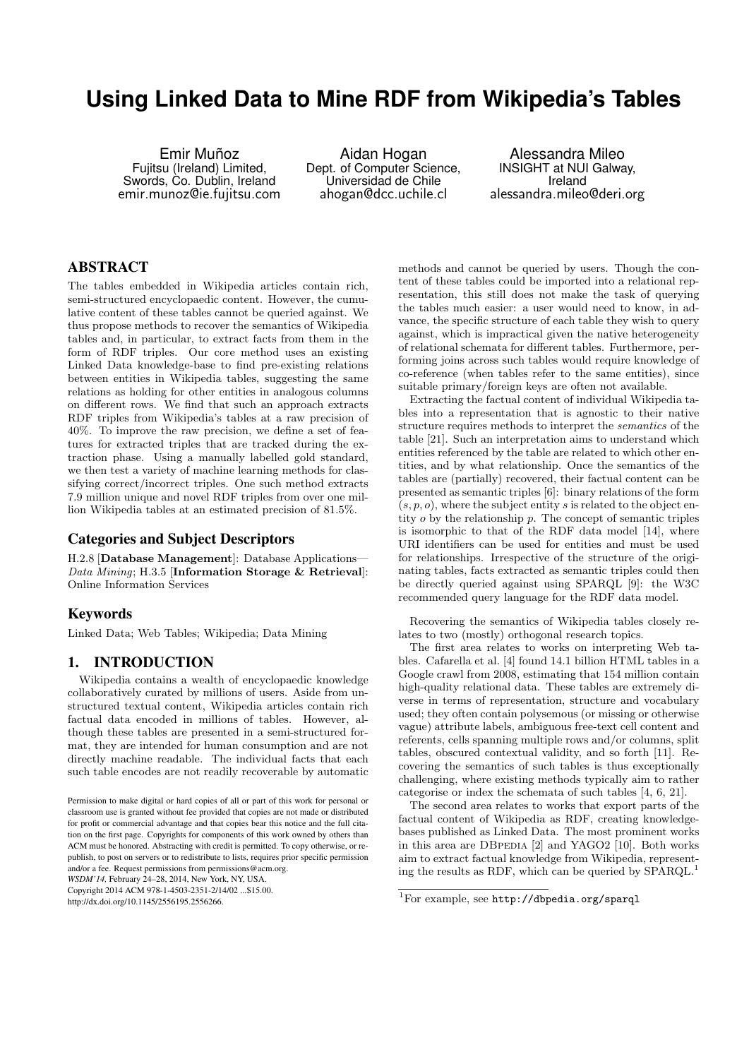# **Using Linked Data to Mine RDF from Wikipedia's Tables**

Emir Muñoz Fujitsu (Ireland) Limited, Swords, Co. Dublin, Ireland emir.munoz@ie.fujitsu.com

Aidan Hogan Dept. of Computer Science, Universidad de Chile ahogan@dcc.uchile.cl

Alessandra Mileo INSIGHT at NUI Galway, Ireland alessandra.mileo@deri.org

# ABSTRACT

The tables embedded in Wikipedia articles contain rich, semi-structured encyclopaedic content. However, the cumulative content of these tables cannot be queried against. We thus propose methods to recover the semantics of Wikipedia tables and, in particular, to extract facts from them in the form of RDF triples. Our core method uses an existing Linked Data knowledge-base to find pre-existing relations between entities in Wikipedia tables, suggesting the same relations as holding for other entities in analogous columns on different rows. We find that such an approach extracts RDF triples from Wikipedia's tables at a raw precision of 40%. To improve the raw precision, we define a set of features for extracted triples that are tracked during the extraction phase. Using a manually labelled gold standard, we then test a variety of machine learning methods for classifying correct/incorrect triples. One such method extracts 7.9 million unique and novel RDF triples from over one million Wikipedia tables at an estimated precision of 81.5%.

# Categories and Subject Descriptors

H.2.8 [Database Management]: Database Applications— Data Mining; H.3.5 [Information Storage & Retrieval]: Online Information Services

# Keywords

Linked Data; Web Tables; Wikipedia; Data Mining

# 1. INTRODUCTION

Wikipedia contains a wealth of encyclopaedic knowledge collaboratively curated by millions of users. Aside from unstructured textual content, Wikipedia articles contain rich factual data encoded in millions of tables. However, although these tables are presented in a semi-structured format, they are intended for human consumption and are not directly machine readable. The individual facts that each such table encodes are not readily recoverable by automatic

*WSDM'14,* February 24–28, 2014, New York, NY, USA.

http://dx.doi.org/10.1145/2556195.2556266.

methods and cannot be queried by users. Though the content of these tables could be imported into a relational representation, this still does not make the task of querying the tables much easier: a user would need to know, in advance, the specific structure of each table they wish to query against, which is impractical given the native heterogeneity of relational schemata for different tables. Furthermore, performing joins across such tables would require knowledge of co-reference (when tables refer to the same entities), since suitable primary/foreign keys are often not available.

Extracting the factual content of individual Wikipedia tables into a representation that is agnostic to their native structure requires methods to interpret the semantics of the table [\[21\]](#page-9-0). Such an interpretation aims to understand which entities referenced by the table are related to which other entities, and by what relationship. Once the semantics of the tables are (partially) recovered, their factual content can be presented as semantic triples [\[6\]](#page-9-1): binary relations of the form  $(s, p, o)$ , where the subject entity s is related to the object entity o by the relationship p. The concept of semantic triples is isomorphic to that of the RDF data model [\[14\]](#page-9-2), where URI identifiers can be used for entities and must be used for relationships. Irrespective of the structure of the originating tables, facts extracted as semantic triples could then be directly queried against using SPARQL [\[9\]](#page-9-3): the W3C recommended query language for the RDF data model.

Recovering the semantics of Wikipedia tables closely relates to two (mostly) orthogonal research topics.

The first area relates to works on interpreting Web tables. Cafarella et al. [\[4\]](#page-9-4) found 14.1 billion HTML tables in a Google crawl from 2008, estimating that 154 million contain high-quality relational data. These tables are extremely diverse in terms of representation, structure and vocabulary used; they often contain polysemous (or missing or otherwise vague) attribute labels, ambiguous free-text cell content and referents, cells spanning multiple rows and/or columns, split tables, obscured contextual validity, and so forth [\[11\]](#page-9-5). Recovering the semantics of such tables is thus exceptionally challenging, where existing methods typically aim to rather categorise or index the schemata of such tables [\[4,](#page-9-4) [6,](#page-9-1) [21\]](#page-9-0).

The second area relates to works that export parts of the factual content of Wikipedia as RDF, creating knowledgebases published as Linked Data. The most prominent works in this area are DBPEDIA  $[2]$  and YAGO2  $[10]$ . Both works aim to extract factual knowledge from Wikipedia, represent-ing the results as RDF, which can be queried by SPARQL.<sup>[1](#page-0-0)</sup>

Permission to make digital or hard copies of all or part of this work for personal or classroom use is granted without fee provided that copies are not made or distributed for profit or commercial advantage and that copies bear this notice and the full citation on the first page. Copyrights for components of this work owned by others than ACM must be honored. Abstracting with credit is permitted. To copy otherwise, or republish, to post on servers or to redistribute to lists, requires prior specific permission and/or a fee. Request permissions from permissions@acm.org.

Copyright 2014 ACM 978-1-4503-2351-2/14/02 ...\$15.00.

<span id="page-0-0"></span><sup>1</sup>For example, see <http://dbpedia.org/sparql>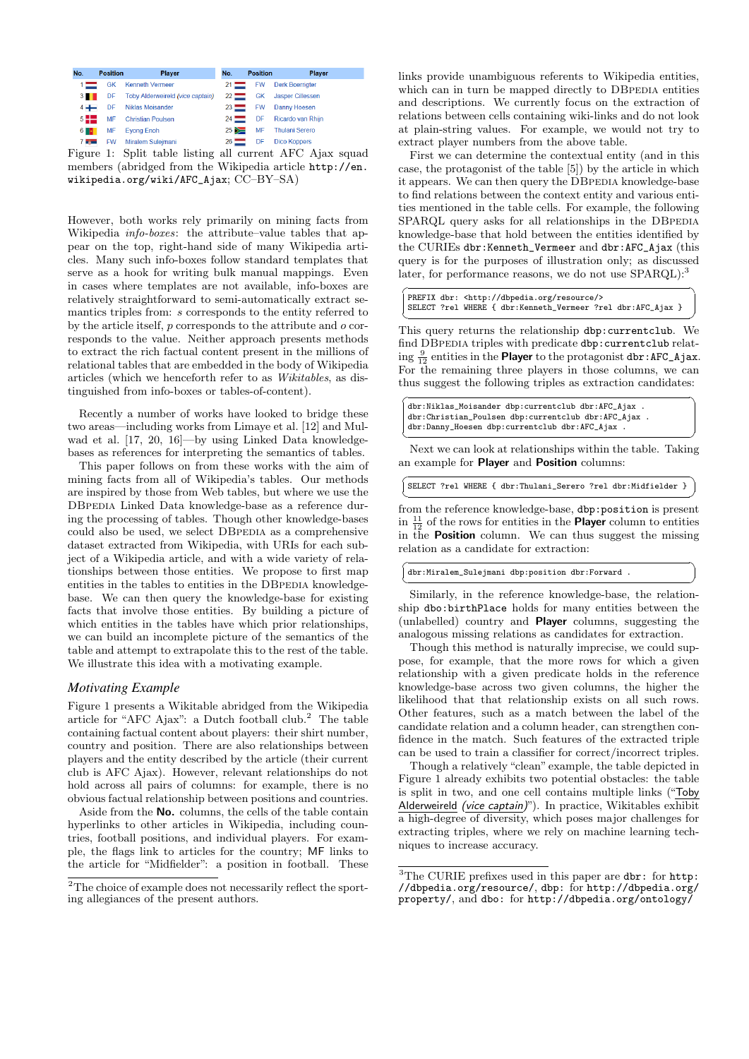<span id="page-1-0"></span>

| No.                | <b>Position</b> | <b>Player</b>                       | No.         | <b>Position</b> | <b>Player</b>             |
|--------------------|-----------------|-------------------------------------|-------------|-----------------|---------------------------|
| $1 \equiv$         | <b>GK</b>       | <b>Kenneth Vermeer</b>              | $21 \equiv$ |                 | <b>FW</b> Derk Boerrigter |
| $3$ $\blacksquare$ |                 | DF Toby Alderweireld (vice captain) | $22 \equiv$ | <b>GK</b>       | <b>Jasper Cillessen</b>   |
| $4 +$              | DF.             | <b>Niklas Moisander</b>             | $23 \equiv$ | FW              | Danny Hoesen              |
| 5 H.W              |                 | MF Christian Poulsen                | $24 \equiv$ |                 | DF Ricardo van Rhijn      |
| $6 \blacksquare$   | <b>MF</b>       | Evong Enoh                          | $25 \geq$   |                 | MF Thulani Serero         |
| $7 -$              | <b>FW</b>       | Miralem Suleimani                   | $26 \equiv$ | DF              | <b>Dico Koppers</b>       |
|                    |                 |                                     |             |                 |                           |

Figure 1: Split table listing all current AFC Ajax squad members (abridged from the Wikipedia article [http://en.](http://en.wikipedia.org/wiki/AFC_Ajax) [wikipedia.org/wiki/AFC\\_Ajax](http://en.wikipedia.org/wiki/AFC_Ajax); CC–BY–SA)

However, both works rely primarily on mining facts from Wikipedia *info-boxes*: the attribute–value tables that appear on the top, right-hand side of many Wikipedia articles. Many such info-boxes follow standard templates that serve as a hook for writing bulk manual mappings. Even in cases where templates are not available, info-boxes are relatively straightforward to semi-automatically extract semantics triples from: s corresponds to the entity referred to by the article itself, p corresponds to the attribute and o corresponds to the value. Neither approach presents methods to extract the rich factual content present in the millions of relational tables that are embedded in the body of Wikipedia articles (which we henceforth refer to as Wikitables, as distinguished from info-boxes or tables-of-content).

Recently a number of works have looked to bridge these two areas—including works from Limaye et al. [\[12\]](#page-9-8) and Mulwad et al. [\[17,](#page-9-9) [20,](#page-9-10) [16\]](#page-9-11)—by using Linked Data knowledgebases as references for interpreting the semantics of tables.

This paper follows on from these works with the aim of mining facts from all of Wikipedia's tables. Our methods are inspired by those from Web tables, but where we use the DBPEDIA Linked Data knowledge-base as a reference during the processing of tables. Though other knowledge-bases could also be used, we select DBPEDIA as a comprehensive dataset extracted from Wikipedia, with URIs for each subject of a Wikipedia article, and with a wide variety of relationships between those entities. We propose to first map entities in the tables to entities in the DBPEDIA knowledgebase. We can then query the knowledge-base for existing facts that involve those entities. By building a picture of which entities in the tables have which prior relationships, we can build an incomplete picture of the semantics of the table and attempt to extrapolate this to the rest of the table. We illustrate this idea with a motivating example.

## *Motivating Example*

Figure [1](#page-1-0) presents a Wikitable abridged from the Wikipedia article for "AFC Ajax": a Dutch football club.[2](#page-1-1) The table containing factual content about players: their shirt number, country and position. There are also relationships between players and the entity described by the article (their current club is AFC Ajax). However, relevant relationships do not hold across all pairs of columns: for example, there is no obvious factual relationship between positions and countries.

Aside from the **No.** columns, the cells of the table contain hyperlinks to other articles in Wikipedia, including countries, football positions, and individual players. For example, the flags link to articles for the country; MF links to the article for "Midfielder": a position in football. These links provide unambiguous referents to Wikipedia entities, which can in turn be mapped directly to DBPEDIA entities and descriptions. We currently focus on the extraction of relations between cells containing wiki-links and do not look at plain-string values. For example, we would not try to extract player numbers from the above table.

First we can determine the contextual entity (and in this case, the protagonist of the table [\[5\]](#page-9-12)) by the article in which it appears. We can then query the DBPEDIA knowledge-base to find relations between the context entity and various entities mentioned in the table cells. For example, the following SPARQL query asks for all relationships in the DBPEDIA knowledge-base that hold between the entities identified by the CURIEs dbr:Kenneth\_Vermeer and dbr:AFC\_Ajax (this query is for the purposes of illustration only; as discussed later, for performance reasons, we do not use SPARQL):<sup>[3](#page-1-2)</sup>

✞ ☎ PREFIX dbr: <http://dbpedia.org/resource/> SELECT ?rel WHERE { dbr:Kenneth\_Vermeer ?rel dbr:AFC\_Ajax }

 $\begin{pmatrix} 1 & 1 & 1 \\ 1 & 1 & 1 \\ 1 & 1 & 1 \end{pmatrix}$ This query returns the relationship dbp:currentclub. We find DBPEDIA triples with predicate dbp: currentclub relating  $\frac{9}{12}$  entities in the **Player** to the protagonist dbr: AFC\_Ajax. For the remaining three players in those columns, we can thus suggest the following triples as extraction candidates:

dbr:Niklas\_Moisander dbp:currentclub dbr:AFC\_Ajax . dbr:Christian\_Poulsen dbp:currentclub dbr:AFC\_Ajax . dbr:Danny\_Hoesen dbp:currentclub dbr:AFC\_Ajax .

✝ ✆ Next we can look at relationships within the table. Taking an example for **Player** and **Position** columns:

SELECT ?rel WHERE { dbr:Thulani\_Serero ?rel dbr:Midfielder }  $\sqrt{2\pi}$ 

from the reference knowledge-base, dbp:position is present in  $\frac{11}{12}$  of the rows for entities in the **Player** column to entities in the **Position** column. We can thus suggest the missing relation as a candidate for extraction:

✞ ☎ dbr:Miralem\_Sulejmani dbp:position dbr:Forward . ✝ ✆

Similarly, in the reference knowledge-base, the relationship dbo:birthPlace holds for many entities between the (unlabelled) country and Player columns, suggesting the analogous missing relations as candidates for extraction.

Though this method is naturally imprecise, we could suppose, for example, that the more rows for which a given relationship with a given predicate holds in the reference knowledge-base across two given columns, the higher the likelihood that that relationship exists on all such rows. Other features, such as a match between the label of the candidate relation and a column header, can strengthen confidence in the match. Such features of the extracted triple can be used to train a classifier for correct/incorrect triples.

Though a relatively "clean" example, the table depicted in Figure [1](#page-1-0) already exhibits two potential obstacles: the table is split in two, and one cell contains multiple links ("Toby Alderweireld (vice captain)"). In practice, Wikitables exhibit a high-degree of diversity, which poses major challenges for extracting triples, where we rely on machine learning techniques to increase accuracy.

<span id="page-1-1"></span><sup>&</sup>lt;sup>2</sup>The choice of example does not necessarily reflect the sporting allegiances of the present authors.

<span id="page-1-2"></span><sup>&</sup>lt;sup>3</sup>The CURIE prefixes used in this paper are dbr: for [http:](http://dbpedia.org/resource/) [//dbpedia.org/resource/](http://dbpedia.org/resource/), dbp: for [http://dbpedia.org/](http://dbpedia.org/property/) [property/](http://dbpedia.org/property/), and dbo: for <http://dbpedia.org/ontology/>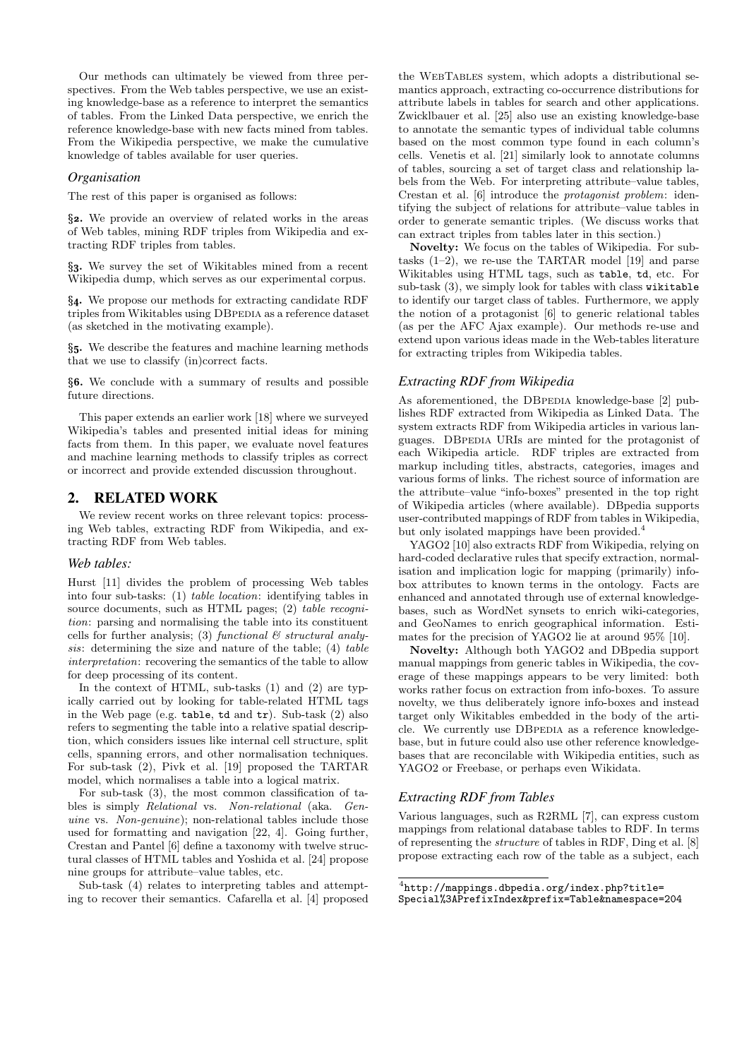Our methods can ultimately be viewed from three perspectives. From the Web tables perspective, we use an existing knowledge-base as a reference to interpret the semantics of tables. From the Linked Data perspective, we enrich the reference knowledge-base with new facts mined from tables. From the Wikipedia perspective, we make the cumulative knowledge of tables available for user queries.

#### *Organisation*

The rest of this paper is organised as follows:

§**[2](#page-2-0)**. We provide an overview of related works in the areas of Web tables, mining RDF triples from Wikipedia and extracting RDF triples from tables.

§**[3](#page-3-0)**. We survey the set of Wikitables mined from a recent Wikipedia dump, which serves as our experimental corpus.

§**[4](#page-4-0)**. We propose our methods for extracting candidate RDF triples from Wikitables using DBPEDIA as a reference dataset (as sketched in the motivating example).

§**[5](#page-5-0)**. We describe the features and machine learning methods that we use to classify (in)correct facts.

§**[6](#page-8-0)**. We conclude with a summary of results and possible future directions.

This paper extends an earlier work [\[18\]](#page-9-13) where we surveyed Wikipedia's tables and presented initial ideas for mining facts from them. In this paper, we evaluate novel features and machine learning methods to classify triples as correct or incorrect and provide extended discussion throughout.

# <span id="page-2-0"></span>2. RELATED WORK

We review recent works on three relevant topics: processing Web tables, extracting RDF from Wikipedia, and extracting RDF from Web tables.

#### *Web tables:*

Hurst [\[11\]](#page-9-5) divides the problem of processing Web tables into four sub-tasks: (1) table location: identifying tables in source documents, such as HTML pages; (2) table recognition: parsing and normalising the table into its constituent cells for further analysis; (3) functional  $\mathcal B$  structural analysis: determining the size and nature of the table; (4) table interpretation: recovering the semantics of the table to allow for deep processing of its content.

In the context of HTML, sub-tasks (1) and (2) are typically carried out by looking for table-related HTML tags in the Web page (e.g. table, td and tr). Sub-task (2) also refers to segmenting the table into a relative spatial description, which considers issues like internal cell structure, split cells, spanning errors, and other normalisation techniques. For sub-task (2), Pivk et al. [\[19\]](#page-9-14) proposed the TARTAR model, which normalises a table into a logical matrix.

For sub-task (3), the most common classification of tables is simply Relational vs. Non-relational (aka. Genuine vs. Non-genuine); non-relational tables include those used for formatting and navigation [\[22,](#page-9-15) [4\]](#page-9-4). Going further, Crestan and Pantel [\[6\]](#page-9-1) define a taxonomy with twelve structural classes of HTML tables and Yoshida et al. [\[24\]](#page-9-16) propose nine groups for attribute–value tables, etc.

Sub-task (4) relates to interpreting tables and attempting to recover their semantics. Cafarella et al. [\[4\]](#page-9-4) proposed

the WebTables system, which adopts a distributional semantics approach, extracting co-occurrence distributions for attribute labels in tables for search and other applications. Zwicklbauer et al. [\[25\]](#page-9-17) also use an existing knowledge-base to annotate the semantic types of individual table columns based on the most common type found in each column's cells. Venetis et al. [\[21\]](#page-9-0) similarly look to annotate columns of tables, sourcing a set of target class and relationship labels from the Web. For interpreting attribute–value tables, Crestan et al. [\[6\]](#page-9-1) introduce the protagonist problem: identifying the subject of relations for attribute–value tables in order to generate semantic triples. (We discuss works that can extract triples from tables later in this section.)

Novelty: We focus on the tables of Wikipedia. For subtasks  $(1-2)$ , we re-use the TARTAR model [\[19\]](#page-9-14) and parse Wikitables using HTML tags, such as table, td, etc. For sub-task (3), we simply look for tables with class wikitable to identify our target class of tables. Furthermore, we apply the notion of a protagonist [\[6\]](#page-9-1) to generic relational tables (as per the AFC Ajax example). Our methods re-use and extend upon various ideas made in the Web-tables literature for extracting triples from Wikipedia tables.

# *Extracting RDF from Wikipedia*

As aforementioned, the DBPEDIA knowledge-base [\[2\]](#page-9-6) publishes RDF extracted from Wikipedia as Linked Data. The system extracts RDF from Wikipedia articles in various languages. DBPEDIA URIs are minted for the protagonist of each Wikipedia article. RDF triples are extracted from markup including titles, abstracts, categories, images and various forms of links. The richest source of information are the attribute–value "info-boxes" presented in the top right of Wikipedia articles (where available). DBpedia supports user-contributed mappings of RDF from tables in Wikipedia, but only isolated mappings have been provided.<sup>[4](#page-2-1)</sup>

YAGO2 [\[10\]](#page-9-7) also extracts RDF from Wikipedia, relying on hard-coded declarative rules that specify extraction, normalisation and implication logic for mapping (primarily) infobox attributes to known terms in the ontology. Facts are enhanced and annotated through use of external knowledgebases, such as WordNet synsets to enrich wiki-categories, and GeoNames to enrich geographical information. Estimates for the precision of YAGO2 lie at around 95% [\[10\]](#page-9-7).

Novelty: Although both YAGO2 and DBpedia support manual mappings from generic tables in Wikipedia, the coverage of these mappings appears to be very limited: both works rather focus on extraction from info-boxes. To assure novelty, we thus deliberately ignore info-boxes and instead target only Wikitables embedded in the body of the article. We currently use DBPEDIA as a reference knowledgebase, but in future could also use other reference knowledgebases that are reconcilable with Wikipedia entities, such as YAGO2 or Freebase, or perhaps even Wikidata.

#### *Extracting RDF from Tables*

Various languages, such as R2RML [\[7\]](#page-9-18), can express custom mappings from relational database tables to RDF. In terms of representing the structure of tables in RDF, Ding et al. [\[8\]](#page-9-19) propose extracting each row of the table as a subject, each

<span id="page-2-1"></span><sup>4</sup> [http://mappings.dbpedia.org/index.php?title=](http://mappings.dbpedia.org/index.php?title=Special%3APrefixIndex&prefix=Table&namespace=204) [Special%3APrefixIndex&prefix=Table&namespace=204](http://mappings.dbpedia.org/index.php?title=Special%3APrefixIndex&prefix=Table&namespace=204)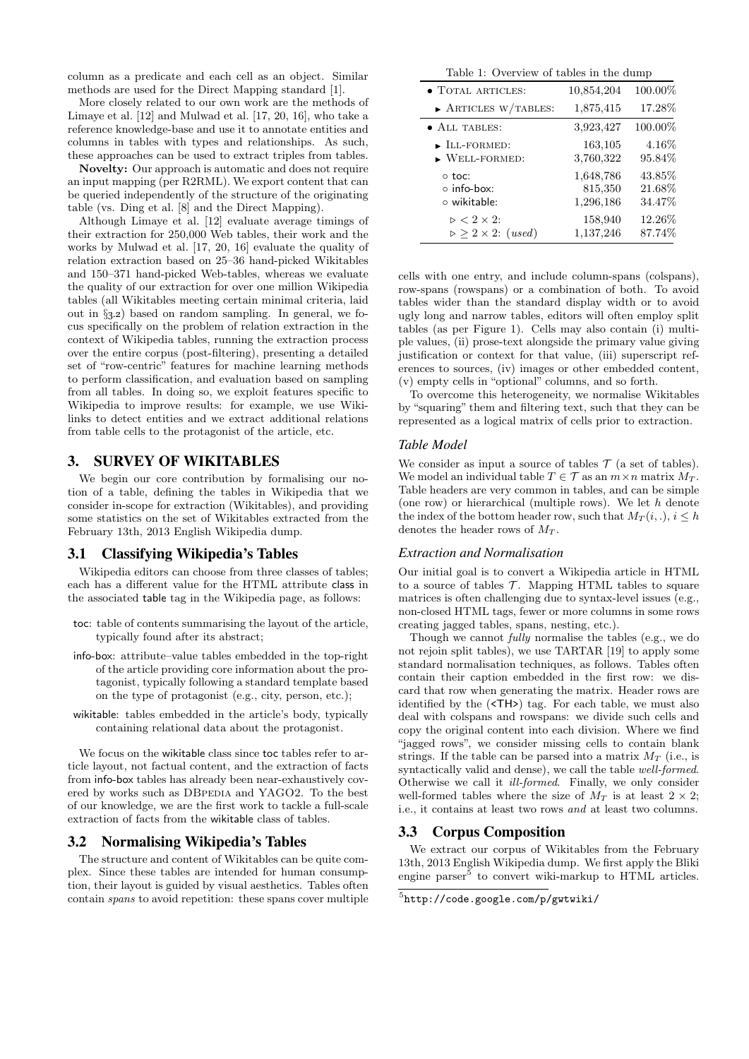column as a predicate and each cell as an object. Similar methods are used for the Direct Mapping standard [\[1\]](#page-9-20).

More closely related to our own work are the methods of Limaye et al. [\[12\]](#page-9-8) and Mulwad et al. [\[17,](#page-9-9) [20,](#page-9-10) [16\]](#page-9-11), who take a reference knowledge-base and use it to annotate entities and columns in tables with types and relationships. As such, these approaches can be used to extract triples from tables.

Novelty: Our approach is automatic and does not require an input mapping (per R2RML). We export content that can be queried independently of the structure of the originating table (vs. Ding et al. [\[8\]](#page-9-19) and the Direct Mapping).

Although Limaye et al. [\[12\]](#page-9-8) evaluate average timings of their extraction for 250,000 Web tables, their work and the works by Mulwad et al. [\[17,](#page-9-9) [20,](#page-9-10) [16\]](#page-9-11) evaluate the quality of relation extraction based on 25–36 hand-picked Wikitables and 150–371 hand-picked Web-tables, whereas we evaluate the quality of our extraction for over one million Wikipedia tables (all Wikitables meeting certain minimal criteria, laid out in §3.[2](#page-3-1)) based on random sampling. In general, we focus specifically on the problem of relation extraction in the context of Wikipedia tables, running the extraction process over the entire corpus (post-filtering), presenting a detailed set of "row-centric" features for machine learning methods to perform classification, and evaluation based on sampling from all tables. In doing so, we exploit features specific to Wikipedia to improve results: for example, we use Wikilinks to detect entities and we extract additional relations from table cells to the protagonist of the article, etc.

# <span id="page-3-0"></span>3. SURVEY OF WIKITABLES

We begin our core contribution by formalising our notion of a table, defining the tables in Wikipedia that we consider in-scope for extraction (Wikitables), and providing some statistics on the set of Wikitables extracted from the February 13th, 2013 English Wikipedia dump.

## 3.1 Classifying Wikipedia's Tables

Wikipedia editors can choose from three classes of tables; each has a different value for the HTML attribute class in the associated table tag in the Wikipedia page, as follows:

- toc: table of contents summarising the layout of the article, typically found after its abstract;
- info-box: attribute–value tables embedded in the top-right of the article providing core information about the protagonist, typically following a standard template based on the type of protagonist (e.g., city, person, etc.);
- wikitable: tables embedded in the article's body, typically containing relational data about the protagonist.

We focus on the wikitable class since toc tables refer to article layout, not factual content, and the extraction of facts from info-box tables has already been near-exhaustively covered by works such as DBPEDIA and YAGO2. To the best of our knowledge, we are the first work to tackle a full-scale extraction of facts from the wikitable class of tables.

## <span id="page-3-1"></span>3.2 Normalising Wikipedia's Tables

The structure and content of Wikitables can be quite complex. Since these tables are intended for human consumption, their layout is guided by visual aesthetics. Tables often contain spans to avoid repetition: these spans cover multiple

| Table 1: Overview of tables in the dump |  |
|-----------------------------------------|--|
|-----------------------------------------|--|

<span id="page-3-3"></span>

| • TOTAL ARTICLES:                                                  | 10,854,204                        | 100.00%                    |
|--------------------------------------------------------------------|-----------------------------------|----------------------------|
| $\blacktriangleright$ ARTICLES W/TABLES:                           | 1,875,415                         | 17.28%                     |
| • ALL TABLES:                                                      | 3,923,427                         | 100.00%                    |
| $\blacktriangleright$ ILL-FORMED:<br>$\triangleright$ WELL-FORMED: | 163,105<br>3,760,322              | 4.16%<br>95.84%            |
| o toc:<br>o info-box:<br>o wikitable:                              | 1,648,786<br>815,350<br>1,296,186 | 43.85%<br>21.68%<br>34.47% |
| $\rhd$ < 2 $\times$ 2:<br>$\rho \geq 2 \times 2$ : (used)          | 158,940<br>1,137,246              | 12.26%<br>87.74%           |

cells with one entry, and include column-spans (colspans), row-spans (rowspans) or a combination of both. To avoid tables wider than the standard display width or to avoid ugly long and narrow tables, editors will often employ split tables (as per Figure [1\)](#page-1-0). Cells may also contain (i) multiple values, (ii) prose-text alongside the primary value giving justification or context for that value, (iii) superscript references to sources, (iv) images or other embedded content, (v) empty cells in "optional" columns, and so forth.

To overcome this heterogeneity, we normalise Wikitables by "squaring" them and filtering text, such that they can be represented as a logical matrix of cells prior to extraction.

## *Table Model*

We consider as input a source of tables  $\mathcal T$  (a set of tables). We model an individual table  $T \in \mathcal{T}$  as an  $m \times n$  matrix  $M_T$ . Table headers are very common in tables, and can be simple (one row) or hierarchical (multiple rows). We let  $h$  denote the index of the bottom header row, such that  $M_T(i, .), i \leq h$ denotes the header rows of  $M_T$ .

#### *Extraction and Normalisation*

Our initial goal is to convert a Wikipedia article in HTML to a source of tables  $T$ . Mapping HTML tables to square matrices is often challenging due to syntax-level issues (e.g., non-closed HTML tags, fewer or more columns in some rows creating jagged tables, spans, nesting, etc.).

Though we cannot fully normalise the tables (e.g., we do not rejoin split tables), we use TARTAR [\[19\]](#page-9-14) to apply some standard normalisation techniques, as follows. Tables often contain their caption embedded in the first row: we discard that row when generating the matrix. Header rows are identified by the (<TH>) tag. For each table, we must also deal with colspans and rowspans: we divide such cells and copy the original content into each division. Where we find "jagged rows", we consider missing cells to contain blank strings. If the table can be parsed into a matrix  $M_T$  (i.e., is syntactically valid and dense), we call the table well-formed. Otherwise we call it ill-formed. Finally, we only consider well-formed tables where the size of  $M_T$  is at least  $2 \times 2$ ; i.e., it contains at least two rows and at least two columns.

# 3.3 Corpus Composition

We extract our corpus of Wikitables from the February 13th, 2013 English Wikipedia dump. We first apply the Bliki engine parser<sup>[5](#page-3-2)</sup> to convert wiki-markup to HTML articles.

<span id="page-3-2"></span><sup>5</sup> <http://code.google.com/p/gwtwiki/>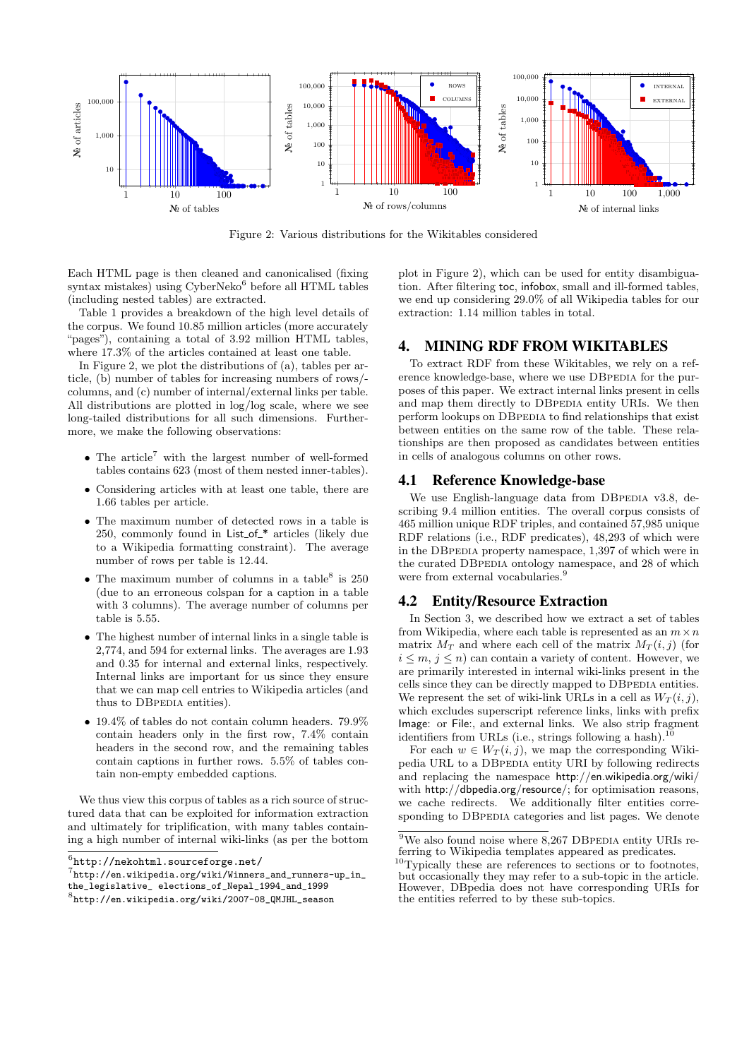<span id="page-4-2"></span>

Figure 2: Various distributions for the Wikitables considered

Each HTML page is then cleaned and canonicalised (fixing  $s$ yntax mistakes) using CyberNeko<sup>[6](#page-4-1)</sup> before all HTML tables (including nested tables) are extracted.

Table [1](#page-3-3) provides a breakdown of the high level details of the corpus. We found 10.85 million articles (more accurately "pages"), containing a total of 3.92 million HTML tables. where 17.3% of the articles contained at least one table.

In Figure [2,](#page-4-2) we plot the distributions of (a), tables per article, (b) number of tables for increasing numbers of rows/ columns, and (c) number of internal/external links per table. All distributions are plotted in log/log scale, where we see long-tailed distributions for all such dimensions. Furthermore, we make the following observations:

- The article<sup>[7](#page-4-3)</sup> with the largest number of well-formed tables contains 623 (most of them nested inner-tables).
- Considering articles with at least one table, there are 1.66 tables per article.
- The maximum number of detected rows in a table is 250, commonly found in List\_of\_\* articles (likely due to a Wikipedia formatting constraint). The average number of rows per table is 12.44.
- The maximum number of columns in a table<sup>[8](#page-4-4)</sup> is  $250$ (due to an erroneous colspan for a caption in a table with 3 columns). The average number of columns per table is 5.55.
- The highest number of internal links in a single table is 2,774, and 594 for external links. The averages are 1.93 and 0.35 for internal and external links, respectively. Internal links are important for us since they ensure that we can map cell entries to Wikipedia articles (and thus to DBPEDIA entities).
- $\bullet$  19.4% of tables do not contain column headers.  $79.9\%$ contain headers only in the first row, 7.4% contain headers in the second row, and the remaining tables contain captions in further rows. 5.5% of tables contain non-empty embedded captions.

We thus view this corpus of tables as a rich source of structured data that can be exploited for information extraction and ultimately for triplification, with many tables containing a high number of internal wiki-links (as per the bottom

<span id="page-4-3"></span>7 http://en.wikipedia.org/wiki/Winners\_and\_runners-up\_in\_ the\_legislative\_ elections\_of\_Nepal\_1994\_and\_1999

plot in Figure [2\)](#page-4-2), which can be used for entity disambiguation. After filtering toc, infobox, small and ill-formed tables, we end up considering 29.0% of all Wikipedia tables for our

# <span id="page-4-0"></span>4. MINING RDF FROM WIKITABLES

To extract RDF from these Wikitables, we rely on a reference knowledge-base, where we use DBPEDIA for the purposes of this paper. We extract internal links present in cells and map them directly to DBPEDIA entity URIs. We then perform lookups on DBPEDIA to find relationships that exist between entities on the same row of the table. These relationships are then proposed as candidates between entities in cells of analogous columns on other rows.

## 4.1 Reference Knowledge-base

extraction: 1.14 million tables in total.

We use English-language data from DBPEDIA v3.8, describing 9.4 million entities. The overall corpus consists of 465 million unique RDF triples, and contained 57,985 unique RDF relations (i.e., RDF predicates), 48,293 of which were in the DBPEDIA property namespace, 1,397 of which were in the curated DBPEDIA ontology namespace, and 28 of which were from external vocabularies.<sup>[9](#page-4-5)</sup>

# 4.2 Entity/Resource Extraction

In Section [3,](#page-3-0) we described how we extract a set of tables from Wikipedia, where each table is represented as an  $m \times n$ matrix  $M_T$  and where each cell of the matrix  $M_T(i, j)$  (for  $i \leq m, j \leq n$  can contain a variety of content. However, we are primarily interested in internal wiki-links present in the cells since they can be directly mapped to DBPEDIA entities. We represent the set of wiki-link URLs in a cell as  $W_T(i, j)$ , which excludes superscript reference links, links with prefix Image: or File:, and external links. We also strip fragment identifiers from URLs (i.e., strings following a hash).<sup>1</sup>

For each  $w \in W_T(i, j)$ , we map the corresponding Wikipedia URL to a DBPEDIA entity URI by following redirects and replacing the namespace http://en.wikipedia.org/wiki/ with http://dbpedia.org/resource/; for optimisation reasons, we cache redirects. We additionally filter entities corresponding to DBPEDIA categories and list pages. We denote

<span id="page-4-1"></span> $^6$ <http://nekohtml.sourceforge.net/>

<span id="page-4-4"></span> $^8$ http://en.wikipedia.org/wiki/2007-08\_QMJHL\_season

<span id="page-4-5"></span> $9$ We also found noise where 8,267 DBPEDIA entity URIs referring to Wikipedia templates appeared as predicates.

<span id="page-4-6"></span> $10$ Typically these are references to sections or to footnotes, but occasionally they may refer to a sub-topic in the article. However, DBpedia does not have corresponding URIs for the entities referred to by these sub-topics.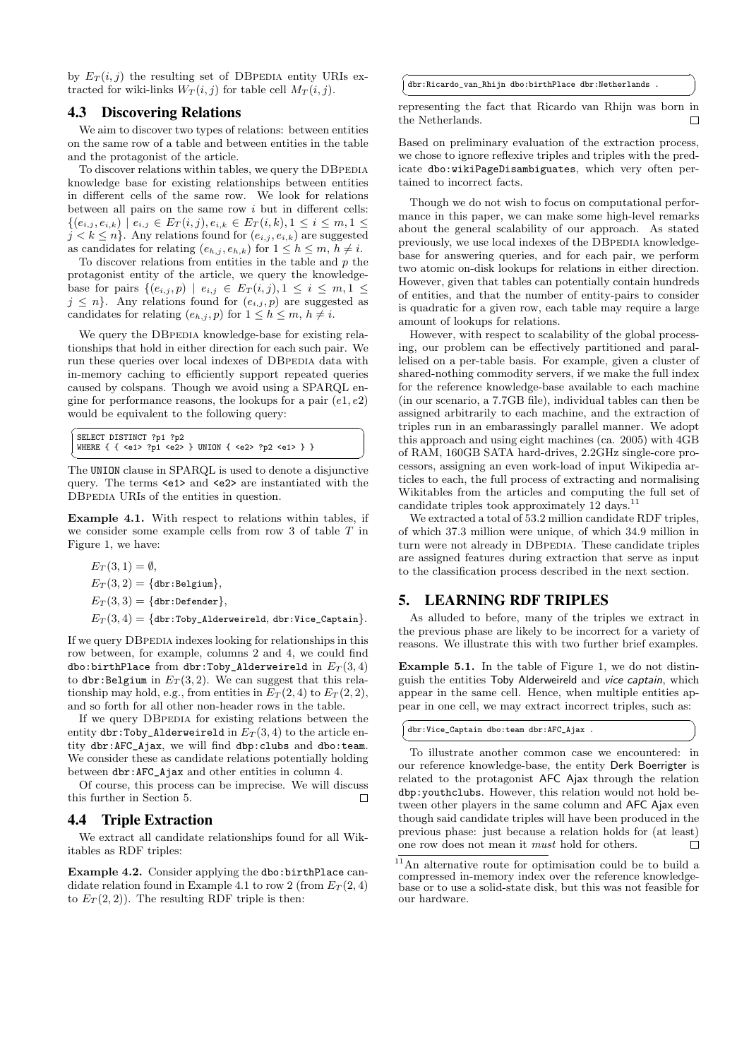by  $E_T(i, j)$  the resulting set of DBPEDIA entity URIs extracted for wiki-links  $W_T(i, j)$  for table cell  $M_T(i, j)$ .

# 4.3 Discovering Relations

We aim to discover two types of relations: between entities on the same row of a table and between entities in the table and the protagonist of the article.

To discover relations within tables, we query the DBPEDIA knowledge base for existing relationships between entities in different cells of the same row. We look for relations between all pairs on the same row  $i$  but in different cells:  $\{(e_{i,j}, e_{i,k}) \mid e_{i,j} \in E_T(i,j), e_{i,k} \in E_T(i,k), 1 \leq i \leq m, 1 \leq j \leq n\}$  $j < k \leq n$ . Any relations found for  $(e_{i,j}, e_{i,k})$  are suggested as candidates for relating  $(e_{h,j}, e_{h,k})$  for  $1 \leq h \leq m, h \neq i$ .

To discover relations from entities in the table and  $p$  the protagonist entity of the article, we query the knowledgebase for pairs  $\{(e_{i,j}, p) \mid e_{i,j} \in E_T(i,j), 1 \leq i \leq m, 1 \leq j \leq m\}$  $j \leq n$ . Any relations found for  $(e_{i,j}, p)$  are suggested as candidates for relating  $(e_{h,j}, p)$  for  $1 \leq h \leq m, h \neq i$ .

We query the DBPEDIA knowledge-base for existing relationships that hold in either direction for each such pair. We run these queries over local indexes of DBPEDIA data with in-memory caching to efficiently support repeated queries caused by colspans. Though we avoid using a SPARQL engine for performance reasons, the lookups for a pair  $(e1, e2)$ would be equivalent to the following query:

```
SELECT DISTINCT ?p1 ?p2
WHERE { { <e1> ?p1 <e2> } UNION { <e2> ?p2 <e1> } }
\begin{pmatrix} 1 & 1 & 1 \\ 1 & 1 & 1 \\ 1 & 1 & 1 \end{pmatrix}
```
The UNION clause in SPARQL is used to denote a disjunctive query. The terms <e1> and <e2> are instantiated with the DBPEDIA URIs of the entities in question.

<span id="page-5-1"></span>Example 4.1. With respect to relations within tables, if we consider some example cells from row 3 of table T in Figure [1,](#page-1-0) we have:

$$
E_T(3,1) = \emptyset,
$$
  
\n
$$
E_T(3,2) = \{\text{dbr:Belgium}\},
$$
  
\n
$$
E_T(3,3) = \{\text{dbr:Defender}\},
$$
  
\n
$$
E_T(3,4) = \{\text{dbr:Top\_Alderweired, dbr:Vice_Captain}\}.
$$

If we query DBPEDIA indexes looking for relationships in this row between, for example, columns 2 and 4, we could find dbo:birthPlace from dbr:Toby\_Alderweireld in  $E_T(3,4)$ to dbr:Belgium in  $E_T(3, 2)$ . We can suggest that this relationship may hold, e.g., from entities in  $E_T(2, 4)$  to  $E_T(2, 2)$ , and so forth for all other non-header rows in the table.

If we query DBPEDIA for existing relations between the entity dbr:Toby\_Alderweireld in  $E_T(3, 4)$  to the article entity dbr:AFC\_Ajax, we will find dbp:clubs and dbo:team. We consider these as candidate relations potentially holding between dbr:AFC\_Ajax and other entities in column 4.

Of course, this process can be imprecise. We will discuss this further in Section [5.](#page-5-0)  $\Box$ 

## 4.4 Triple Extraction

We extract all candidate relationships found for all Wikitables as RDF triples:

Example 4.2. Consider applying the dbo:birthPlace can-didate relation found in Example [4.1](#page-5-1) to row 2 (from  $E_T(2, 4)$ ) to  $E_T(2, 2)$ ). The resulting RDF triple is then:

✞ ☎ dbr:Ricardo\_van\_Rhijn dbo:birthPlace dbr:Netherlands .  $\begin{pmatrix} 1 & 1 & 1 \\ 1 & 1 & 1 \\ 1 & 1 & 1 \end{pmatrix}$ 

representing the fact that Ricardo van Rhijn was born in the Netherlands.  $\Box$ 

Based on preliminary evaluation of the extraction process, we chose to ignore reflexive triples and triples with the predicate dbo:wikiPageDisambiguates, which very often pertained to incorrect facts.

Though we do not wish to focus on computational performance in this paper, we can make some high-level remarks about the general scalability of our approach. As stated previously, we use local indexes of the DBPEDIA knowledgebase for answering queries, and for each pair, we perform two atomic on-disk lookups for relations in either direction. However, given that tables can potentially contain hundreds of entities, and that the number of entity-pairs to consider is quadratic for a given row, each table may require a large amount of lookups for relations.

However, with respect to scalability of the global processing, our problem can be effectively partitioned and parallelised on a per-table basis. For example, given a cluster of shared-nothing commodity servers, if we make the full index for the reference knowledge-base available to each machine (in our scenario, a 7.7GB file), individual tables can then be assigned arbitrarily to each machine, and the extraction of triples run in an embarassingly parallel manner. We adopt this approach and using eight machines (ca. 2005) with 4GB of RAM, 160GB SATA hard-drives, 2.2GHz single-core processors, assigning an even work-load of input Wikipedia articles to each, the full process of extracting and normalising Wikitables from the articles and computing the full set of candidate triples took approximately  $12 \text{ days}$ .<sup>[11](#page-5-2)</sup>

We extracted a total of 53.2 million candidate RDF triples, of which 37.3 million were unique, of which 34.9 million in turn were not already in DBPEDIA. These candidate triples are assigned features during extraction that serve as input to the classification process described in the next section.

# <span id="page-5-0"></span>5. LEARNING RDF TRIPLES

As alluded to before, many of the triples we extract in the previous phase are likely to be incorrect for a variety of reasons. We illustrate this with two further brief examples.

<span id="page-5-3"></span>Example 5.1. In the table of Figure [1,](#page-1-0) we do not distinguish the entities Toby Alderweireld and vice captain, which appear in the same cell. Hence, when multiple entities appear in one cell, we may extract incorrect triples, such as:

dbr:Vice\_Captain dbo:team dbr:AFC\_Ajax .  $\begin{pmatrix} 1 & 1 & 1 \\ 1 & 1 & 1 \\ 1 & 1 & 1 \end{pmatrix}$ 

To illustrate another common case we encountered: in our reference knowledge-base, the entity Derk Boerrigter is related to the protagonist AFC Ajax through the relation dbp:youthclubs. However, this relation would not hold between other players in the same column and AFC Ajax even though said candidate triples will have been produced in the previous phase: just because a relation holds for (at least) one row does not mean it must hold for others.  $\Box$ 

<span id="page-5-2"></span><sup>11</sup>An alternative route for optimisation could be to build a compressed in-memory index over the reference knowledgebase or to use a solid-state disk, but this was not feasible for our hardware.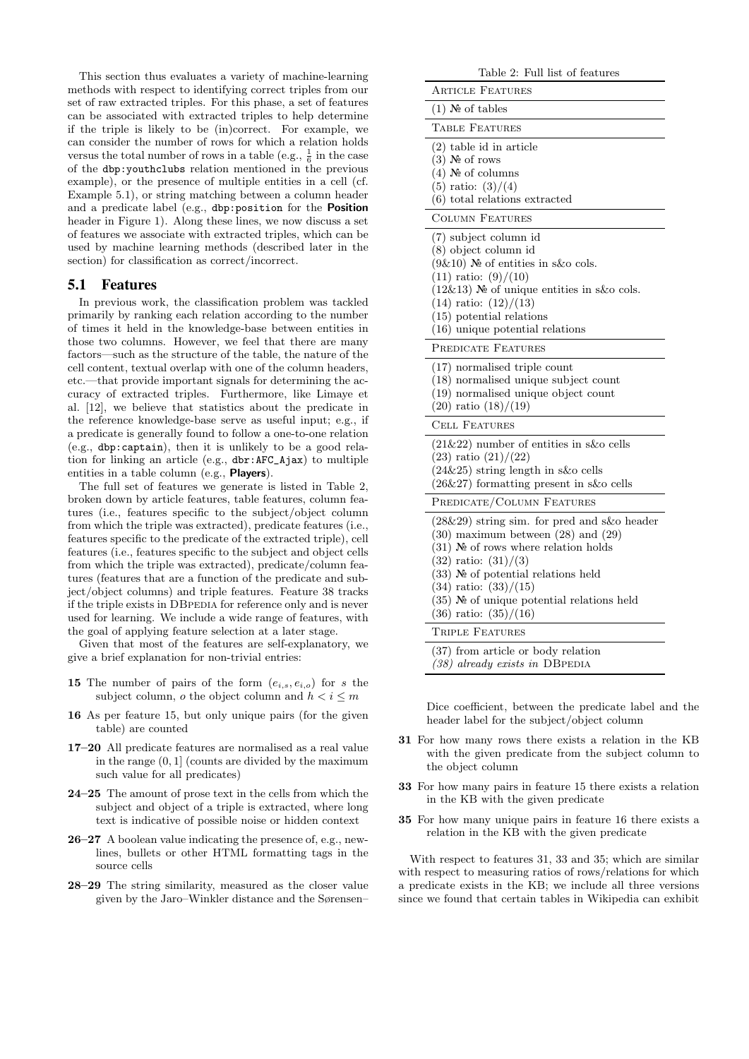This section thus evaluates a variety of machine-learning methods with respect to identifying correct triples from our set of raw extracted triples. For this phase, a set of features can be associated with extracted triples to help determine if the triple is likely to be (in)correct. For example, we can consider the number of rows for which a relation holds versus the total number of rows in a table (e.g.,  $\frac{1}{6}$  in the case of the dbp:youthclubs relation mentioned in the previous example), or the presence of multiple entities in a cell (cf. Example [5.1\)](#page-5-3), or string matching between a column header and a predicate label (e.g., dbp:position for the Position header in Figure [1\)](#page-1-0). Along these lines, we now discuss a set of features we associate with extracted triples, which can be used by machine learning methods (described later in the section) for classification as correct/incorrect.

## 5.1 Features

In previous work, the classification problem was tackled primarily by ranking each relation according to the number of times it held in the knowledge-base between entities in those two columns. However, we feel that there are many factors—such as the structure of the table, the nature of the cell content, textual overlap with one of the column headers, etc.—that provide important signals for determining the accuracy of extracted triples. Furthermore, like Limaye et al. [\[12\]](#page-9-8), we believe that statistics about the predicate in the reference knowledge-base serve as useful input; e.g., if a predicate is generally found to follow a one-to-one relation (e.g., dbp:captain), then it is unlikely to be a good relation for linking an article (e.g., dbr:AFC\_Ajax) to multiple entities in a table column (e.g., Players).

The full set of features we generate is listed in Table [2,](#page-6-0) broken down by article features, table features, column features (i.e., features specific to the subject/object column from which the triple was extracted), predicate features (i.e., features specific to the predicate of the extracted triple), cell features (i.e., features specific to the subject and object cells from which the triple was extracted), predicate/column features (features that are a function of the predicate and subject/object columns) and triple features. Feature 38 tracks if the triple exists in DBPEDIA for reference only and is never used for learning. We include a wide range of features, with the goal of applying feature selection at a later stage.

Given that most of the features are self-explanatory, we give a brief explanation for non-trivial entries:

- 15 The number of pairs of the form  $(e_{i,s}, e_{i,o})$  for s the subject column, o the object column and  $h < i \leq m$
- 16 As per feature 15, but only unique pairs (for the given table) are counted
- 17–20 All predicate features are normalised as a real value in the range (0, 1] (counts are divided by the maximum such value for all predicates)
- 24–25 The amount of prose text in the cells from which the subject and object of a triple is extracted, where long text is indicative of possible noise or hidden context
- 26–27 A boolean value indicating the presence of, e.g., newlines, bullets or other HTML formatting tags in the source cells
- 28–29 The string similarity, measured as the closer value given by the Jaro–Winkler distance and the Sørensen–

| Table 2: Full list of features |  |  |  |  |  |  |  |
|--------------------------------|--|--|--|--|--|--|--|
|--------------------------------|--|--|--|--|--|--|--|

<span id="page-6-0"></span>

| <b>ARTICLE FEATURES</b>                                                                                                                                                                                                                                                                                            |
|--------------------------------------------------------------------------------------------------------------------------------------------------------------------------------------------------------------------------------------------------------------------------------------------------------------------|
| $(1)$ No of tables                                                                                                                                                                                                                                                                                                 |
| TABLE FEATURES                                                                                                                                                                                                                                                                                                     |
| $(2)$ table id in article<br>$(3)$ No of rows<br>$(4)$ No of columns<br>$(5) \text{ ratio: } (3)/(4)$<br>(6) total relations extracted                                                                                                                                                                             |
| <b>COLUMN FEATURES</b>                                                                                                                                                                                                                                                                                             |
| (7) subject column id<br>(8) object column id<br>$(9&10)$ No of entities in s & cols.<br>$(11)$ ratio: $(9)/(10)$<br>$(12\&13)$ No of unique entities in s&o cols.<br>$(14)$ ratio: $(12)/(13)$<br>$(15)$ potential relations<br>$(16)$ unique potential relations                                                 |
| PREDICATE FEATURES                                                                                                                                                                                                                                                                                                 |
| (17) normalised triple count<br>(18) normalised unique subject count<br>(19) normalised unique object count<br>$(20)$ ratio $(18)/(19)$                                                                                                                                                                            |
| <b>CELL FEATURES</b>                                                                                                                                                                                                                                                                                               |
| $(21\&22)$ number of entities in s&o cells<br>$(23)$ ratio $(21)/(22)$<br>$(24&25)$ string length in s&o cells<br>$(26\&27)$ formatting present in s&o cells                                                                                                                                                       |
| PREDICATE/COLUMN FEATURES                                                                                                                                                                                                                                                                                          |
| $(28&29)$ string sim. for pred and s o header<br>$(30)$ maximum between $(28)$ and $(29)$<br>$(31)$ No of rows where relation holds<br>$(32)$ ratio: $(31)/(3)$<br>$(33)$ No of potential relations held<br>$(34)$ ratio: $(33)/(15)$<br>$(35)$ No of unique potential relations held<br>$(36)$ ratio: $(35)/(16)$ |
| TRIPLE FEATURES                                                                                                                                                                                                                                                                                                    |
| (37) from article or body relation<br>(38) already exists in DBPEDIA                                                                                                                                                                                                                                               |

Dice coefficient, between the predicate label and the header label for the subject/object column

- 31 For how many rows there exists a relation in the KB with the given predicate from the subject column to the object column
- 33 For how many pairs in feature 15 there exists a relation in the KB with the given predicate
- 35 For how many unique pairs in feature 16 there exists a relation in the KB with the given predicate

With respect to features 31, 33 and 35; which are similar with respect to measuring ratios of rows/relations for which a predicate exists in the KB; we include all three versions since we found that certain tables in Wikipedia can exhibit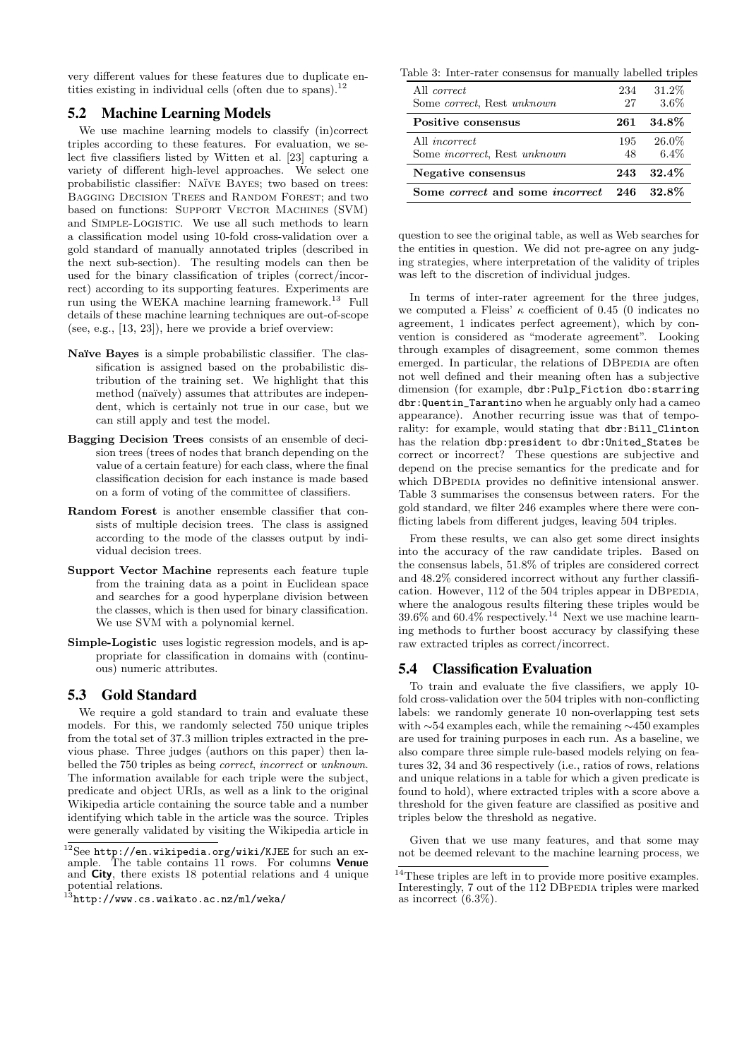very different values for these features due to duplicate en-tities existing in individual cells (often due to spans).<sup>[12](#page-7-0)</sup>

## 5.2 Machine Learning Models

We use machine learning models to classify (in)correct triples according to these features. For evaluation, we select five classifiers listed by Witten et al. [\[23\]](#page-9-21) capturing a variety of different high-level approaches. We select one probabilistic classifier: NAÏVE BAYES; two based on trees: BAGGING DECISION TREES and RANDOM FOREST; and two based on functions: SUPPORT VECTOR MACHINES (SVM) and Simple-Logistic. We use all such methods to learn a classification model using 10-fold cross-validation over a gold standard of manually annotated triples (described in the next sub-section). The resulting models can then be used for the binary classification of triples (correct/incorrect) according to its supporting features. Experiments are run using the WEKA machine learning framework.[13](#page-7-1) Full details of these machine learning techniques are out-of-scope (see, e.g., [\[13,](#page-9-22) [23\]](#page-9-21)), here we provide a brief overview:

- Naïve Bayes is a simple probabilistic classifier. The classification is assigned based on the probabilistic distribution of the training set. We highlight that this method (naïvely) assumes that attributes are independent, which is certainly not true in our case, but we can still apply and test the model.
- Bagging Decision Trees consists of an ensemble of decision trees (trees of nodes that branch depending on the value of a certain feature) for each class, where the final classification decision for each instance is made based on a form of voting of the committee of classifiers.
- Random Forest is another ensemble classifier that consists of multiple decision trees. The class is assigned according to the mode of the classes output by individual decision trees.
- Support Vector Machine represents each feature tuple from the training data as a point in Euclidean space and searches for a good hyperplane division between the classes, which is then used for binary classification. We use SVM with a polynomial kernel.
- Simple-Logistic uses logistic regression models, and is appropriate for classification in domains with (continuous) numeric attributes.

# 5.3 Gold Standard

We require a gold standard to train and evaluate these models. For this, we randomly selected 750 unique triples from the total set of 37.3 million triples extracted in the previous phase. Three judges (authors on this paper) then labelled the 750 triples as being correct, incorrect or unknown. The information available for each triple were the subject, predicate and object URIs, as well as a link to the original Wikipedia article containing the source table and a number identifying which table in the article was the source. Triples were generally validated by visiting the Wikipedia article in <span id="page-7-2"></span>Table 3: Inter-rater consensus for manually labelled triples

| All <i>correct</i><br>Some <i>correct</i> , Rest <i>unknown</i>     | 234<br>27 | 31.2%<br>3.6%       |
|---------------------------------------------------------------------|-----------|---------------------|
| Positive consensus                                                  | 261       | 34.8%               |
| All <i>incorrect</i><br>Some <i>incorrect</i> , Rest <i>unknown</i> | 195<br>48 | $26.0\%$<br>$6.4\%$ |
| Negative consensus                                                  | 243       | $32.4\%$            |
| Some <i>correct</i> and some <i>incorrect</i>                       | 246       | 32.8%               |

question to see the original table, as well as Web searches for the entities in question. We did not pre-agree on any judging strategies, where interpretation of the validity of triples was left to the discretion of individual judges.

In terms of inter-rater agreement for the three judges, we computed a Fleiss'  $\kappa$  coefficient of 0.45 (0 indicates no agreement, 1 indicates perfect agreement), which by convention is considered as "moderate agreement". Looking through examples of disagreement, some common themes emerged. In particular, the relations of DBPEDIA are often not well defined and their meaning often has a subjective dimension (for example, dbr:Pulp\_Fiction dbo:starring dbr:Quentin\_Tarantino when he arguably only had a cameo appearance). Another recurring issue was that of temporality: for example, would stating that dbr:Bill\_Clinton has the relation dbp:president to dbr:United\_States be correct or incorrect? These questions are subjective and depend on the precise semantics for the predicate and for which DBPEDIA provides no definitive intensional answer. Table [3](#page-7-2) summarises the consensus between raters. For the gold standard, we filter 246 examples where there were conflicting labels from different judges, leaving 504 triples.

From these results, we can also get some direct insights into the accuracy of the raw candidate triples. Based on the consensus labels, 51.8% of triples are considered correct and 48.2% considered incorrect without any further classification. However, 112 of the 504 triples appear in DBPEDIA, where the analogous results filtering these triples would be  $39.6\%$  and  $60.4\%$  respectively.<sup>[14](#page-7-3)</sup> Next we use machine learning methods to further boost accuracy by classifying these raw extracted triples as correct/incorrect.

## 5.4 Classification Evaluation

To train and evaluate the five classifiers, we apply 10 fold cross-validation over the 504 triples with non-conflicting labels: we randomly generate 10 non-overlapping test sets with ∼54 examples each, while the remaining ∼450 examples are used for training purposes in each run. As a baseline, we also compare three simple rule-based models relying on features 32, 34 and 36 respectively (i.e., ratios of rows, relations and unique relations in a table for which a given predicate is found to hold), where extracted triples with a score above a threshold for the given feature are classified as positive and triples below the threshold as negative.

Given that we use many features, and that some may not be deemed relevant to the machine learning process, we

<span id="page-7-0"></span><sup>&</sup>lt;sup>12</sup>See <http://en.wikipedia.org/wiki/KJEE> for such an ex-<br>ample. The table contains 11 rows. For columns **Venue** The table contains 11 rows. For columns Venue and City, there exists 18 potential relations and 4 unique potential relations.

<span id="page-7-1"></span> $^{13}$ <http://www.cs.waikato.ac.nz/ml/weka/>

<span id="page-7-3"></span> $14$ These triples are left in to provide more positive examples. Interestingly, 7 out of the 112 DBPEDIA triples were marked as incorrect (6.3%).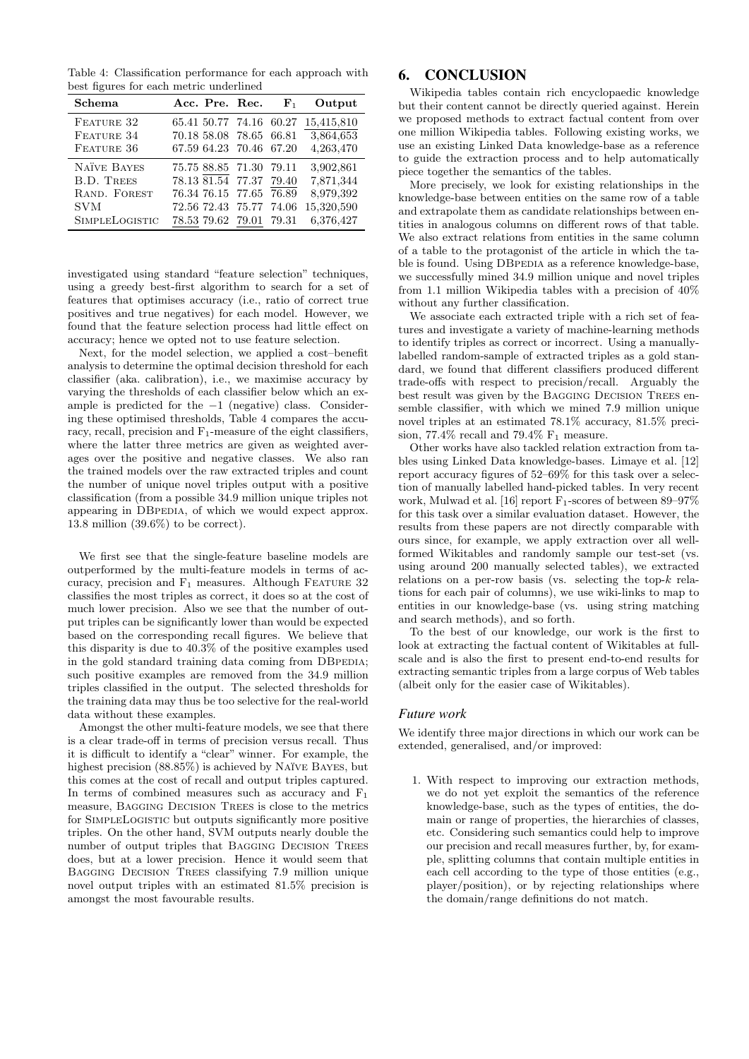<span id="page-8-1"></span>Table 4: Classification performance for each approach with best figures for each metric underlined

| Schema                                                                | Acc. Pre. Rec. $F_1$                                                                                     |  | Output                                            |
|-----------------------------------------------------------------------|----------------------------------------------------------------------------------------------------------|--|---------------------------------------------------|
| FEATURE 32<br>FEATURE 34<br>FEATURE 36                                | 65.41 50.77 74.16 60.27<br>70.18 58.08 78.65 66.81<br>67.59 64.23 70.46 67.20                            |  | 15,415,810<br>3,864,653<br>4,263,470              |
| <b>NAÏVE BAYES</b><br><b>B.D. TREES</b><br>RAND. FOREST<br><b>SVM</b> | 75.75 88.85 71.30 79.11<br>78.13 81.54 77.37 79.40<br>76.34 76.15 77.65 76.89<br>72.56 72.43 75.77 74.06 |  | 3,902,861<br>7,871,344<br>8,979,392<br>15,320,590 |
| <b>SIMPLELOGISTIC</b>                                                 | 78.53 79.62 79.01 79.31                                                                                  |  | 6,376,427                                         |

investigated using standard "feature selection" techniques, using a greedy best-first algorithm to search for a set of features that optimises accuracy (i.e., ratio of correct true positives and true negatives) for each model. However, we found that the feature selection process had little effect on accuracy; hence we opted not to use feature selection.

Next, for the model selection, we applied a cost–benefit analysis to determine the optimal decision threshold for each classifier (aka. calibration), i.e., we maximise accuracy by varying the thresholds of each classifier below which an example is predicted for the −1 (negative) class. Considering these optimised thresholds, Table [4](#page-8-1) compares the accuracy, recall, precision and  $F_1$ -measure of the eight classifiers, where the latter three metrics are given as weighted averages over the positive and negative classes. We also ran the trained models over the raw extracted triples and count the number of unique novel triples output with a positive classification (from a possible 34.9 million unique triples not appearing in DBPEDIA, of which we would expect approx. 13.8 million (39.6%) to be correct).

We first see that the single-feature baseline models are outperformed by the multi-feature models in terms of accuracy, precision and  $F_1$  measures. Although FEATURE 32 classifies the most triples as correct, it does so at the cost of much lower precision. Also we see that the number of output triples can be significantly lower than would be expected based on the corresponding recall figures. We believe that this disparity is due to 40.3% of the positive examples used in the gold standard training data coming from DBPEDIA; such positive examples are removed from the 34.9 million triples classified in the output. The selected thresholds for the training data may thus be too selective for the real-world data without these examples.

Amongst the other multi-feature models, we see that there is a clear trade-off in terms of precision versus recall. Thus it is difficult to identify a "clear" winner. For example, the highest precision  $(88.85\%)$  is achieved by NAÏVE BAYES, but this comes at the cost of recall and output triples captured. In terms of combined measures such as accuracy and  $F_1$ measure, Bagging Decision Trees is close to the metrics for SimpleLogistic but outputs significantly more positive triples. On the other hand, SVM outputs nearly double the number of output triples that Bagging Decision Trees does, but at a lower precision. Hence it would seem that Bagging Decision Trees classifying 7.9 million unique novel output triples with an estimated 81.5% precision is amongst the most favourable results.

# <span id="page-8-0"></span>6. CONCLUSION

Wikipedia tables contain rich encyclopaedic knowledge but their content cannot be directly queried against. Herein we proposed methods to extract factual content from over one million Wikipedia tables. Following existing works, we use an existing Linked Data knowledge-base as a reference to guide the extraction process and to help automatically piece together the semantics of the tables.

More precisely, we look for existing relationships in the knowledge-base between entities on the same row of a table and extrapolate them as candidate relationships between entities in analogous columns on different rows of that table. We also extract relations from entities in the same column of a table to the protagonist of the article in which the table is found. Using DBPEDIA as a reference knowledge-base, we successfully mined 34.9 million unique and novel triples from 1.1 million Wikipedia tables with a precision of 40% without any further classification.

We associate each extracted triple with a rich set of features and investigate a variety of machine-learning methods to identify triples as correct or incorrect. Using a manuallylabelled random-sample of extracted triples as a gold standard, we found that different classifiers produced different trade-offs with respect to precision/recall. Arguably the best result was given by the Bagging Decision Trees ensemble classifier, with which we mined 7.9 million unique novel triples at an estimated 78.1% accuracy, 81.5% precision,  $77.4\%$  recall and  $79.4\%$  F<sub>1</sub> measure.

Other works have also tackled relation extraction from tables using Linked Data knowledge-bases. Limaye et al. [\[12\]](#page-9-8) report accuracy figures of 52–69% for this task over a selection of manually labelled hand-picked tables. In very recent work, Mulwad et al. [\[16\]](#page-9-11) report  $F_1$ -scores of between 89–97% for this task over a similar evaluation dataset. However, the results from these papers are not directly comparable with ours since, for example, we apply extraction over all wellformed Wikitables and randomly sample our test-set (vs. using around 200 manually selected tables), we extracted relations on a per-row basis (vs. selecting the top- $k$  relations for each pair of columns), we use wiki-links to map to entities in our knowledge-base (vs. using string matching and search methods), and so forth.

To the best of our knowledge, our work is the first to look at extracting the factual content of Wikitables at fullscale and is also the first to present end-to-end results for extracting semantic triples from a large corpus of Web tables (albeit only for the easier case of Wikitables).

## *Future work*

We identify three major directions in which our work can be extended, generalised, and/or improved:

1. With respect to improving our extraction methods, we do not yet exploit the semantics of the reference knowledge-base, such as the types of entities, the domain or range of properties, the hierarchies of classes, etc. Considering such semantics could help to improve our precision and recall measures further, by, for example, splitting columns that contain multiple entities in each cell according to the type of those entities (e.g., player/position), or by rejecting relationships where the domain/range definitions do not match.